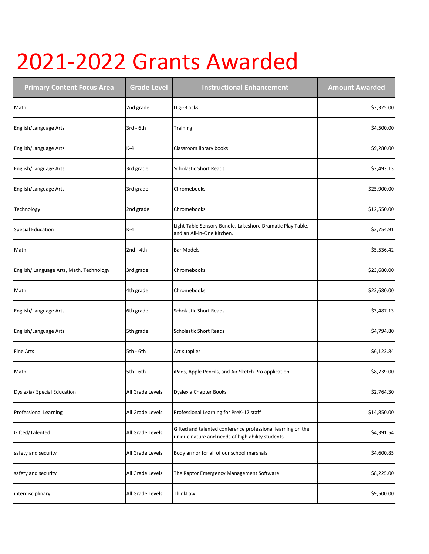## 2021-2022 Grants Awarded

| <b>Primary Content Focus Area</b>        | <b>Grade Level</b> | <b>Instructional Enhancement</b>                                                                                | <b>Amount Awarded</b> |
|------------------------------------------|--------------------|-----------------------------------------------------------------------------------------------------------------|-----------------------|
| Math                                     | 2nd grade          | Digi-Blocks                                                                                                     | \$3,325.00            |
| English/Language Arts                    | 3rd - 6th          | Training                                                                                                        | \$4,500.00            |
| English/Language Arts                    | $K-4$              | Classroom library books                                                                                         | \$9,280.00            |
| English/Language Arts                    | 3rd grade          | <b>Scholastic Short Reads</b>                                                                                   | \$3,493.13            |
| English/Language Arts                    | 3rd grade          | Chromebooks                                                                                                     | \$25,900.00           |
| Technology                               | 2nd grade          | Chromebooks                                                                                                     | \$12,550.00           |
| <b>Special Education</b>                 | $K-4$              | Light Table Sensory Bundle, Lakeshore Dramatic Play Table,<br>and an All-in-One Kitchen.                        | \$2,754.91            |
| Math                                     | $2nd - 4th$        | <b>Bar Models</b>                                                                                               | \$5,536.42            |
| English/ Language Arts, Math, Technology | 3rd grade          | Chromebooks                                                                                                     | \$23,680.00           |
| Math                                     | 4th grade          | Chromebooks                                                                                                     | \$23,680.00           |
| English/Language Arts                    | 6th grade          | <b>Scholastic Short Reads</b>                                                                                   | \$3,487.13            |
| English/Language Arts                    | 5th grade          | <b>Scholastic Short Reads</b>                                                                                   | \$4,794.80            |
| Fine Arts                                | 5th - 6th          | Art supplies                                                                                                    | \$6,123.84            |
| Math                                     | 5th - 6th          | iPads, Apple Pencils, and Air Sketch Pro application                                                            | \$8,739.00            |
| Dyslexia/ Special Education              | All Grade Levels   | Dyslexia Chapter Books                                                                                          | \$2,764.30            |
| <b>Professional Learning</b>             | All Grade Levels   | Professional Learning for PreK-12 staff                                                                         | \$14,850.00           |
| Gifted/Talented                          | All Grade Levels   | Gifted and talented conference professional learning on the<br>unique nature and needs of high ability students | \$4,391.54            |
| safety and security                      | All Grade Levels   | Body armor for all of our school marshals                                                                       | \$4,600.85            |
| safety and security                      | All Grade Levels   | The Raptor Emergency Management Software                                                                        | \$8,225.00            |
| interdisciplinary                        | All Grade Levels   | ThinkLaw                                                                                                        | \$9,500.00            |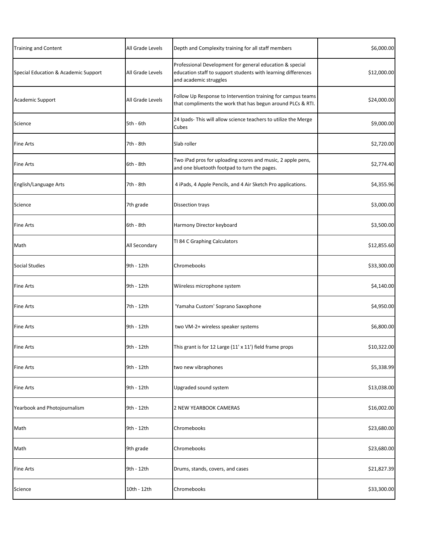| <b>Training and Content</b>          | All Grade Levels | Depth and Complexity training for all staff members                                                                                                 | \$6,000.00  |
|--------------------------------------|------------------|-----------------------------------------------------------------------------------------------------------------------------------------------------|-------------|
| Special Education & Academic Support | All Grade Levels | Professional Development for general education & special<br>education staff to support students with learning differences<br>and academic struggles | \$12,000.00 |
| Academic Support                     | All Grade Levels | Follow Up Response to Intervention training for campus teams<br>that compliments the work that has begun around PLCs & RTI.                         | \$24,000.00 |
| Science                              | 5th - 6th        | 24 Ipads- This will allow science teachers to utilize the Merge<br>Cubes                                                                            | \$9,000.00  |
| <b>Fine Arts</b>                     | 7th - 8th        | Slab roller                                                                                                                                         | \$2,720.00  |
| <b>Fine Arts</b>                     | 6th - 8th        | Two iPad pros for uploading scores and music, 2 apple pens,<br>and one bluetooth footpad to turn the pages.                                         | \$2,774.40  |
| English/Language Arts                | 7th - 8th        | 4 iPads, 4 Apple Pencils, and 4 Air Sketch Pro applications.                                                                                        | \$4,355.96  |
| Science                              | 7th grade        | Dissection trays                                                                                                                                    | \$3,000.00  |
| <b>Fine Arts</b>                     | 6th - 8th        | Harmony Director keyboard                                                                                                                           | \$3,500.00  |
| Math                                 | All Secondary    | TI 84 C Graphing Calculators                                                                                                                        | \$12,855.60 |
| <b>Social Studies</b>                | 9th - 12th       | Chromebooks                                                                                                                                         | \$33,300.00 |
| <b>Fine Arts</b>                     | 9th - 12th       | Wiireless microphone system                                                                                                                         | \$4,140.00  |
| <b>Fine Arts</b>                     | 7th - 12th       | 'Yamaha Custom' Soprano Saxophone                                                                                                                   | \$4,950.00  |
| <b>Fine Arts</b>                     | 9th - 12th       | two VM-2+ wireless speaker systems                                                                                                                  | \$6,800.00  |
| <b>Fine Arts</b>                     | 9th - 12th       | This grant is for 12 Large (11' x 11') field frame props                                                                                            | \$10,322.00 |
| <b>Fine Arts</b>                     | 9th - 12th       | two new vibraphones                                                                                                                                 | \$5,338.99  |
| <b>Fine Arts</b>                     | 9th - 12th       | Upgraded sound system                                                                                                                               | \$13,038.00 |
| Yearbook and Photojournalism         | 9th - 12th       | 2 NEW YEARBOOK CAMERAS                                                                                                                              | \$16,002.00 |
| Math                                 | 9th - 12th       | Chromebooks                                                                                                                                         | \$23,680.00 |
| Math                                 | 9th grade        | Chromebooks                                                                                                                                         | \$23,680.00 |
| <b>Fine Arts</b>                     | 9th - 12th       | Drums, stands, covers, and cases                                                                                                                    | \$21,827.39 |
| Science                              | 10th - 12th      | Chromebooks                                                                                                                                         | \$33,300.00 |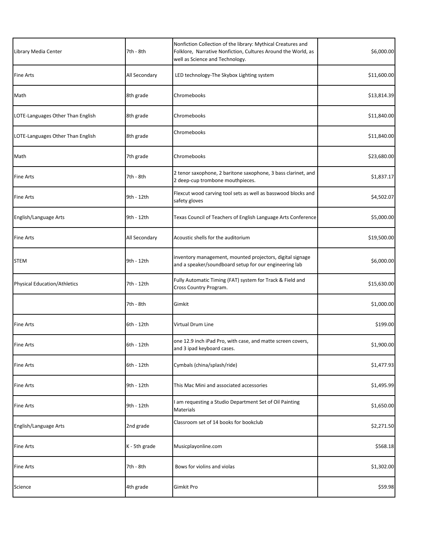| Library Media Center                | 7th - 8th     | Nonfiction Collection of the library: Mythical Creatures and<br>Folklore, Narrative Nonfiction, Cultures Around the World, as<br>well as Science and Technology. | \$6,000.00  |
|-------------------------------------|---------------|------------------------------------------------------------------------------------------------------------------------------------------------------------------|-------------|
| Fine Arts                           | All Secondary | LED technology-The Skybox Lighting system                                                                                                                        | \$11,600.00 |
| Math                                | 8th grade     | Chromebooks                                                                                                                                                      | \$13,814.39 |
| LOTE-Languages Other Than English   | 8th grade     | Chromebooks                                                                                                                                                      | \$11,840.00 |
| LOTE-Languages Other Than English   | 8th grade     | Chromebooks                                                                                                                                                      | \$11,840.00 |
| Math                                | 7th grade     | Chromebooks                                                                                                                                                      | \$23,680.00 |
| Fine Arts                           | 7th - 8th     | 2 tenor saxophone, 2 baritone saxophone, 3 bass clarinet, and<br>2 deep-cup trombone mouthpieces.                                                                | \$1,837.17  |
| Fine Arts                           | 9th - 12th    | Flexcut wood carving tool sets as well as basswood blocks and<br>safety gloves                                                                                   | \$4,502.07  |
| English/Language Arts               | 9th - 12th    | Texas Council of Teachers of English Language Arts Conference                                                                                                    | \$5,000.00  |
| <b>Fine Arts</b>                    | All Secondary | Acoustic shells for the auditorium                                                                                                                               | \$19,500.00 |
| <b>STEM</b>                         | 9th - 12th    | inventory management, mounted projectors, digital signage<br>and a speaker/soundboard setup for our engineering lab                                              | \$6,000.00  |
| <b>Physical Education/Athletics</b> | 7th - 12th    | Fully Automatic Timing (FAT) system for Track & Field and<br>Cross Country Program.                                                                              | \$15,630.00 |
|                                     | 7th - 8th     | Gimkit                                                                                                                                                           | \$1,000.00  |
| <b>Fine Arts</b>                    | 6th - 12th    | Virtual Drum Line                                                                                                                                                | \$199.00    |
| Fine Arts                           | 6th - 12th    | one 12.9 inch iPad Pro, with case, and matte screen covers,<br>and 3 ipad keyboard cases.                                                                        | \$1,900.00  |
| <b>Fine Arts</b>                    | 6th - 12th    | Cymbals (china/splash/ride)                                                                                                                                      | \$1,477.93  |
| <b>Fine Arts</b>                    | 9th - 12th    | This Mac Mini and associated accessories                                                                                                                         | \$1,495.99  |
| Fine Arts                           | 9th - 12th    | am requesting a Studio Department Set of Oil Painting<br>Materials                                                                                               | \$1,650.00  |
| English/Language Arts               | 2nd grade     | Classroom set of 14 books for bookclub                                                                                                                           | \$2,271.50  |
| <b>Fine Arts</b>                    | K - 5th grade | Musicplayonline.com                                                                                                                                              | \$568.18    |
| Fine Arts                           | 7th - 8th     | Bows for violins and violas                                                                                                                                      | \$1,302.00  |
| Science                             | 4th grade     | Gimkit Pro                                                                                                                                                       | \$59.98     |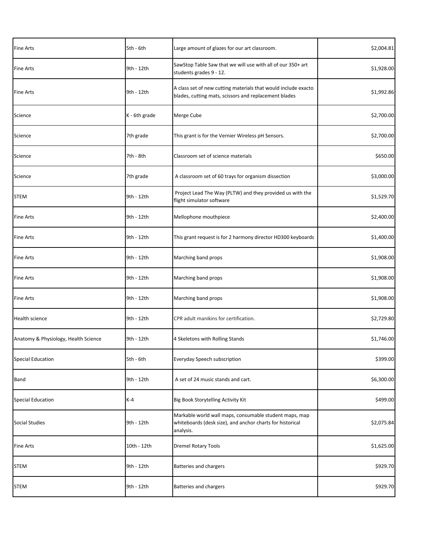| <b>Fine Arts</b>                     | $5th - 6th$   | Large amount of glazes for our art classroom.                                                                                    | \$2,004.81 |
|--------------------------------------|---------------|----------------------------------------------------------------------------------------------------------------------------------|------------|
| <b>Fine Arts</b>                     | 9th - 12th    | SawStop Table Saw that we will use with all of our 350+ art<br>students grades 9 - 12.                                           | \$1,928.00 |
| <b>Fine Arts</b>                     | 9th - 12th    | A class set of new cutting materials that would include exacto<br>blades, cutting mats, scissors and replacement blades          | \$1,992.86 |
| Science                              | K - 6th grade | Merge Cube                                                                                                                       | \$2,700.00 |
| Science                              | 7th grade     | This grant is for the Vernier Wireless pH Sensors.                                                                               | \$2,700.00 |
| Science                              | 7th - 8th     | Classroom set of science materials                                                                                               | \$650.00   |
| Science                              | 7th grade     | A classroom set of 60 trays for organism dissection                                                                              | \$3,000.00 |
| <b>STEM</b>                          | 9th - 12th    | Project Lead The Way (PLTW) and they provided us with the<br>flight simulator software                                           | \$1,529.70 |
| Fine Arts                            | 9th - 12th    | Mellophone mouthpiece                                                                                                            | \$2,400.00 |
| Fine Arts                            | 9th - 12th    | This grant request is for 2 harmony director HD300 keyboards                                                                     | \$1,400.00 |
| Fine Arts                            | 9th - 12th    | Marching band props                                                                                                              | \$1,908.00 |
| Fine Arts                            | 9th - 12th    | Marching band props                                                                                                              | \$1,908.00 |
| Fine Arts                            | 9th - 12th    | Marching band props                                                                                                              | \$1,908.00 |
| Health science                       | 9th - 12th    | CPR adult manikins for certification.                                                                                            | \$2,729.80 |
| Anatomy & Physiology, Health Science | 9th - 12th    | 4 Skeletons with Rolling Stands                                                                                                  | \$1,746.00 |
| <b>Special Education</b>             | 5th - 6th     | Everyday Speech subscription                                                                                                     | \$399.00   |
| Band                                 | 9th - 12th    | A set of 24 music stands and cart.                                                                                               | \$6,300.00 |
| <b>Special Education</b>             | $K-4$         | Big Book Storytelling Activity Kit                                                                                               | \$499.00   |
| Social Studies                       | 9th - 12th    | Markable world wall maps, consumable student maps, map<br>whiteboards (desk size), and anchor charts for historical<br>analysis. | \$2,075.84 |
| <b>Fine Arts</b>                     | 10th - 12th   | <b>Dremel Rotary Tools</b>                                                                                                       | \$1,625.00 |
| <b>STEM</b>                          | 9th - 12th    | <b>Batteries and chargers</b>                                                                                                    | \$929.70   |
| <b>STEM</b>                          | 9th - 12th    | Batteries and chargers                                                                                                           | \$929.70   |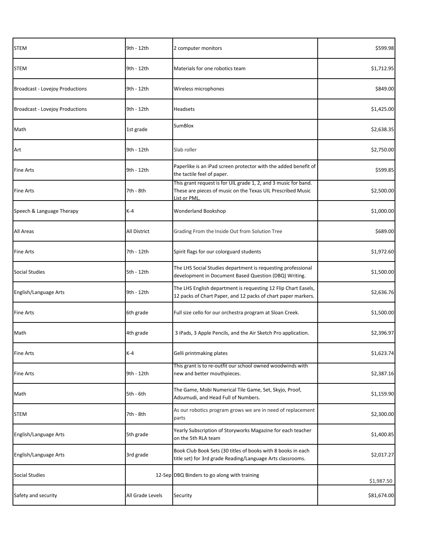| <b>STEM</b>                            | 9th - 12th       | 2 computer monitors                                                                                                                           | \$599.98    |
|----------------------------------------|------------------|-----------------------------------------------------------------------------------------------------------------------------------------------|-------------|
| <b>STEM</b>                            | 9th - 12th       | Materials for one robotics team                                                                                                               | \$1,712.95  |
| <b>Broadcast - Lovejoy Productions</b> | 9th - 12th       | Wireless microphones                                                                                                                          | \$849.00    |
| <b>Broadcast - Lovejoy Productions</b> | 9th - 12th       | <b>Headsets</b>                                                                                                                               | \$1,425.00  |
| Math                                   | 1st grade        | <b>SumBlox</b>                                                                                                                                | \$2,638.35  |
| Art                                    | 9th - 12th       | Slab roller                                                                                                                                   | \$2,750.00  |
| <b>Fine Arts</b>                       | 9th - 12th       | Paperlike is an iPad screen protector with the added benefit of<br>the tactile feel of paper.                                                 | \$599.85    |
| <b>Fine Arts</b>                       | 7th - 8th        | This grant request is for UIL grade 1, 2, and 3 music for band.<br>These are pieces of music on the Texas UIL Prescribed Music<br>List or PML | \$2,500.00  |
| Speech & Language Therapy              | $K-4$            | Wonderland Bookshop                                                                                                                           | \$1,000.00  |
| All Areas                              | All District     | Grading From the Inside Out from Solution Tree                                                                                                | \$689.00    |
| <b>Fine Arts</b>                       | 7th - 12th       | Spirit flags for our colorguard students                                                                                                      | \$1,972.60  |
| <b>Social Studies</b>                  | 5th - 12th       | The LHS Social Studies department is requesting professional<br>development in Document Based Question (DBQ) Writing.                         | \$1,500.00  |
| English/Language Arts                  | 9th - 12th       | The LHS English department is requesting 12 Flip Chart Easels,<br>12 packs of Chart Paper, and 12 packs of chart paper markers.               | \$2,636.76  |
| <b>Fine Arts</b>                       | 6th grade        | Full size cello for our orchestra program at Sloan Creek.                                                                                     | \$1,500.00  |
| Math                                   | 4th grade        | 3 iPads, 3 Apple Pencils, and the Air Sketch Pro application.                                                                                 | \$2,396.97  |
| <b>Fine Arts</b>                       | $K-4$            | Gelli printmaking plates                                                                                                                      | \$1,623.74  |
| <b>Fine Arts</b>                       | 9th - 12th       | This grant is to re-outfit our school owned woodwinds with<br>new and better mouthpieces.                                                     | \$2,387.16  |
| Math                                   | 5th - 6th        | The Game, Mobi Numerical Tile Game, Set, Skyjo, Proof,<br>Adsumudi, and Head Full of Numbers.                                                 | \$1,159.90  |
| <b>STEM</b>                            | 7th - 8th        | As our robotics program grows we are in need of replacement<br>parts                                                                          | \$2,300.00  |
| <b>English/Language Arts</b>           | 5th grade        | Yearly Subscription of Storyworks Magazine for each teacher<br>on the 5th RLA team                                                            | \$1,400.85  |
| English/Language Arts                  | 3rd grade        | Book Club Book Sets (30 titles of books with 8 books in each<br>title set) for 3rd grade Reading/Language Arts classrooms.                    | \$2,017.27  |
| <b>Social Studies</b>                  |                  | 12-Sep DBQ Binders to go along with training                                                                                                  | \$1,987.50  |
| Safety and security                    | All Grade Levels | Security                                                                                                                                      | \$81,674.00 |